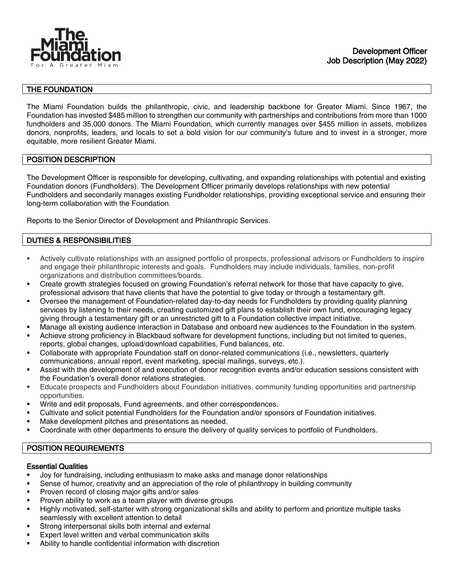

## THE FOUNDATION

The Miami Foundation builds the philanthropic, civic, and leadership backbone for Greater Miami. Since 1967, the Foundation has invested \$485 million to strengthen our community with partnerships and contributions from more than 1000 fundholders and 35,000 donors. The Miami Foundation, which currently manages over \$455 million in assets, mobilizes donors, nonprofits, leaders, and locals to set a bold vision for our community's future and to invest in a stronger, more equitable, more resilient Greater Miami.

## POSITION DESCRIPTION

The Development Officer is responsible for developing, cultivating, and expanding relationships with potential and existing Foundation donors (Fundholders). The Development Officer primarily develops relationships with new potential Fundholders and secondarily manages existing Fundholder relationships, providing exceptional service and ensuring their long-term collaboration with the Foundation.

Reports to the Senior Director of Development and Philanthropic Services.

## DUTIES & RESPONSIBILITIES

- Actively cultivate relationships with an assigned portfolio of prospects, professional advisors or Fundholders to inspire and engage their philanthropic interests and goals. Fundholders may include individuals, families, non-profit organizations and distribution committees/boards.
- Create growth strategies focused on growing Foundation's referral network for those that have capacity to give, professional advisors that have clients that have the potential to give today or through a testamentary gift.
- Oversee the management of Foundation-related day-to-day needs for Fundholders by providing quality planning services by listening to their needs, creating customized gift plans to establish their own fund, encouraging legacy giving through a testamentary gift or an unrestricted gift to a Foundation collective impact initiative.
- Manage all existing audience interaction in Database and onboard new audiences to the Foundation in the system.
- Achieve strong proficiency in Blackbaud software for development functions, including but not limited to queries, reports, global changes, upload/download capabilities, Fund balances, etc.
- Collaborate with appropriate Foundation staff on donor-related communications (i.e., newsletters, quarterly communications, annual report, event marketing, special mailings, surveys, etc.).
- Assist with the development of and execution of donor recognition events and/or education sessions consistent with the Foundation's overall donor relations strategies.
- Educate prospects and Fundholders about Foundation initiatives, community funding opportunities and partnership opportunities.
- Write and edit proposals, Fund agreements, and other correspondences.
- Cultivate and solicit potential Fundholders for the Foundation and/or sponsors of Foundation initiatives.
- Make development pitches and presentations as needed.
- Coordinate with other departments to ensure the delivery of quality services to portfolio of Fundholders.

## POSITION REQUIREMENTS

#### Essential Qualities

- Joy for fundraising, including enthusiasm to make asks and manage donor relationships
- Sense of humor, creativity and an appreciation of the role of philanthropy in building community
- **Proven record of closing major gifts and/or sales**
- Proven ability to work as a team player with diverse groups
- Highly motivated, self-starter with strong organizational skills and ability to perform and prioritize multiple tasks seamlessly with excellent attention to detail
- Strong interpersonal skills both internal and external
- Expert level written and verbal communication skills
- Ability to handle confidential information with discretion